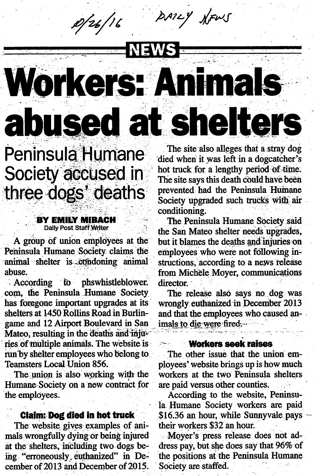DAILY NEWS p/26/16

# NEW **Workers: Animals** abused at shelters

Peninsula Humane Society accused in<br>three dogs' deaths

### **BY EMILY MIBACH**<br>Daily Post Staff Writer

A group of union employees at the Peninsula Humane Society claims the animal shelter is condoning animal abuse.

.According to phswhistleblower. com, the Peninsula Humane Society has foregone important upgrades at its shelters at 1450 Rollins Road in Burlingame and 12 Airport Boulevard in San Mateo, resulting in the deaths and injuries of multiple animals. The website is run by shelter employees who belong to Teamsters Local Union 856.

The union is also working with the Humane Society on a new contract for the employees.

#### Claim: Dog diedin hot truck

The website gives examples of animals wrongfully dying or being injured at the shelters, including two dogs be ing "erroneously euthanized" in December of 2013 and December of 2015 .

The site also alleges that a stray dog died when it was left in a dogcatcher's hot truck for a lengthy period of time. The site says this death could have been prevented had the Peninsula Humane Society upgraded such trucks with air conditioning.

The Peninsula Humane Society said the San Mateo shelter needs upgrades, but it blames the deadis and injuries on employees who were not following in structions, according to a news release from Michele Moyer, communications director.

The release also says no dog was wrongly euthanized in December 2013 and that the employees who caused animals to die-were fired...

#### Workers seek raises

The other issue that the union em ployees' website brings up is how much workers at the two Peninsula shelters are paid versus other counties.

According to the website, Peninsu la Humane Society workers are paid \$16.36 an hour, while Sunnyvale pays their workers \$32 an hour.

Moyer's press release does not ad dress pay, but she does say that 96% of the positions at the Peninsula Humane Society are staffed.